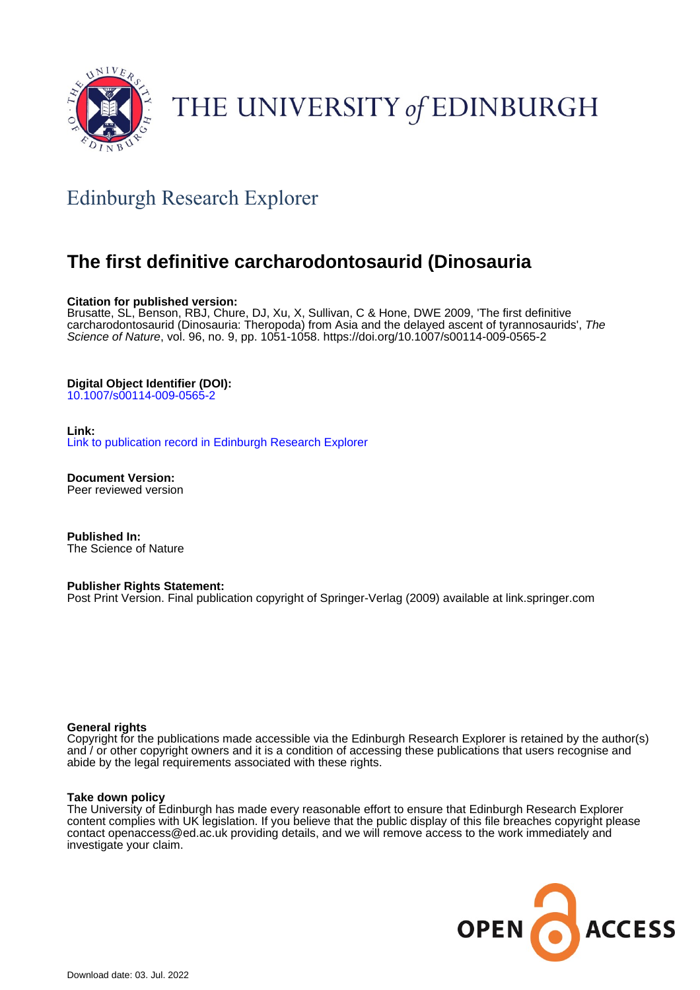

# THE UNIVERSITY of EDINBURGH

## Edinburgh Research Explorer

### **The first definitive carcharodontosaurid (Dinosauria**

#### **Citation for published version:**

Brusatte, SL, Benson, RBJ, Chure, DJ, Xu, X, Sullivan, C & Hone, DWE 2009, 'The first definitive carcharodontosaurid (Dinosauria: Theropoda) from Asia and the delayed ascent of tyrannosaurids', The Science of Nature, vol. 96, no. 9, pp. 1051-1058. <https://doi.org/10.1007/s00114-009-0565-2>

#### **Digital Object Identifier (DOI):**

[10.1007/s00114-009-0565-2](https://doi.org/10.1007/s00114-009-0565-2)

#### **Link:**

[Link to publication record in Edinburgh Research Explorer](https://www.research.ed.ac.uk/en/publications/33528c2e-0c9c-4160-8693-984f077ee5d0)

**Document Version:** Peer reviewed version

**Published In:** The Science of Nature

#### **Publisher Rights Statement:**

Post Print Version. Final publication copyright of Springer-Verlag (2009) available at link.springer.com

#### **General rights**

Copyright for the publications made accessible via the Edinburgh Research Explorer is retained by the author(s) and / or other copyright owners and it is a condition of accessing these publications that users recognise and abide by the legal requirements associated with these rights.

#### **Take down policy**

The University of Edinburgh has made every reasonable effort to ensure that Edinburgh Research Explorer content complies with UK legislation. If you believe that the public display of this file breaches copyright please contact openaccess@ed.ac.uk providing details, and we will remove access to the work immediately and investigate your claim.

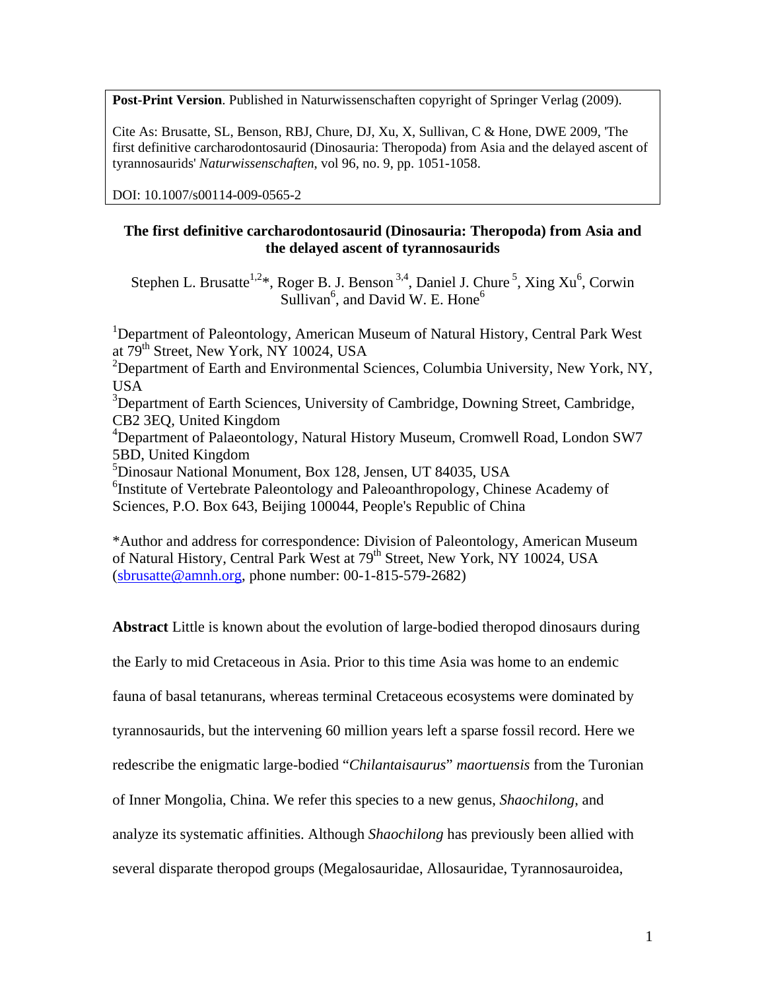**Post-Print Version**. Published in Naturwissenschaften copyright of Springer Verlag (2009).

Cite As: Brusatte, SL, Benson, RBJ, Chure, DJ, Xu, X, Sullivan, C & Hone, DWE 2009, 'The first definitive carcharodontosaurid (Dinosauria: Theropoda) from Asia and the delayed ascent of tyrannosaurids' *Naturwissenschaften*, vol 96, no. 9, pp. 1051-1058.

DOI: 10.1007/s00114-009-0565-2

#### **The first definitive carcharodontosaurid (Dinosauria: Theropoda) from Asia and the delayed ascent of tyrannosaurids**

Stephen L. Brusatte<sup>1,2\*</sup>, Roger B. J. Benson<sup>3,4</sup>, Daniel J. Chure<sup>5</sup>, Xing Xu<sup>6</sup>, Corwin Sullivan<sup>6</sup>, and David W. E. Hone<sup>6</sup>

<sup>1</sup>Department of Paleontology, American Museum of Natural History, Central Park West at 79<sup>th</sup> Street, New York, NY 10024, USA

<sup>2</sup>Department of Earth and Environmental Sciences, Columbia University, New York, NY, USA

<sup>3</sup>Department of Earth Sciences, University of Cambridge, Downing Street, Cambridge, CB2 3EQ, United Kingdom

4 Department of Palaeontology, Natural History Museum, Cromwell Road, London SW7 5BD, United Kingdom

5 Dinosaur National Monument, Box 128, Jensen, UT 84035, USA

<sup>6</sup>Institute of Vertebrate Paleontology and Paleoanthropology, Chinese Academy of Sciences, P.O. Box 643, Beijing 100044, People's Republic of China

\*Author and address for correspondence: Division of Paleontology, American Museum of Natural History, Central Park West at 79<sup>th</sup> Street, New York, NY 10024, USA [\(sbrusatte@amnh.org,](mailto:sbrusatte@amnh.org) phone number: 00-1-815-579-2682)

**Abstract** Little is known about the evolution of large-bodied theropod dinosaurs during

the Early to mid Cretaceous in Asia. Prior to this time Asia was home to an endemic

fauna of basal tetanurans, whereas terminal Cretaceous ecosystems were dominated by

tyrannosaurids, but the intervening 60 million years left a sparse fossil record. Here we

redescribe the enigmatic large-bodied "*Chilantaisaurus*" *maortuensis* from the Turonian

of Inner Mongolia, China. We refer this species to a new genus, *Shaochilong*, and

analyze its systematic affinities. Although *Shaochilong* has previously been allied with

several disparate theropod groups (Megalosauridae, Allosauridae, Tyrannosauroidea,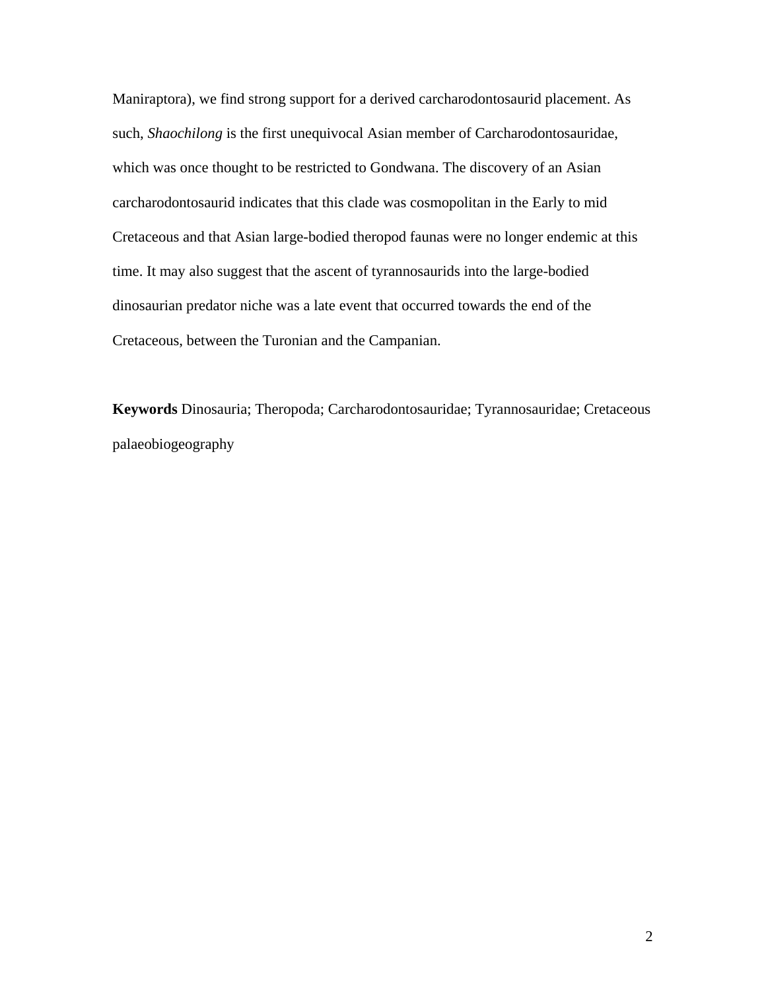Maniraptora), we find strong support for a derived carcharodontosaurid placement. As such, *Shaochilong* is the first unequivocal Asian member of Carcharodontosauridae, which was once thought to be restricted to Gondwana. The discovery of an Asian carcharodontosaurid indicates that this clade was cosmopolitan in the Early to mid Cretaceous and that Asian large-bodied theropod faunas were no longer endemic at this time. It may also suggest that the ascent of tyrannosaurids into the large-bodied dinosaurian predator niche was a late event that occurred towards the end of the Cretaceous, between the Turonian and the Campanian.

**Keywords** Dinosauria; Theropoda; Carcharodontosauridae; Tyrannosauridae; Cretaceous palaeobiogeography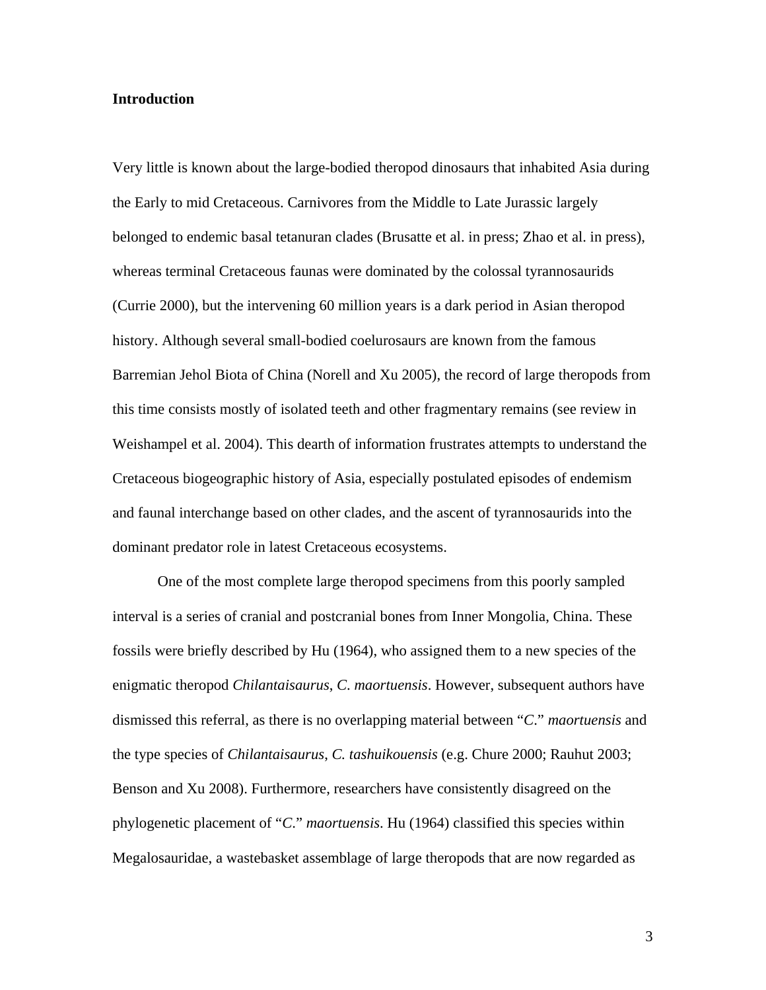#### **Introduction**

Very little is known about the large-bodied theropod dinosaurs that inhabited Asia during the Early to mid Cretaceous. Carnivores from the Middle to Late Jurassic largely belonged to endemic basal tetanuran clades (Brusatte et al. in press; Zhao et al. in press), whereas terminal Cretaceous faunas were dominated by the colossal tyrannosaurids (Currie 2000), but the intervening 60 million years is a dark period in Asian theropod history. Although several small-bodied coelurosaurs are known from the famous Barremian Jehol Biota of China (Norell and Xu 2005), the record of large theropods from this time consists mostly of isolated teeth and other fragmentary remains (see review in Weishampel et al. 2004). This dearth of information frustrates attempts to understand the Cretaceous biogeographic history of Asia, especially postulated episodes of endemism and faunal interchange based on other clades, and the ascent of tyrannosaurids into the dominant predator role in latest Cretaceous ecosystems.

One of the most complete large theropod specimens from this poorly sampled interval is a series of cranial and postcranial bones from Inner Mongolia, China. These fossils were briefly described by Hu (1964), who assigned them to a new species of the enigmatic theropod *Chilantaisaurus*, *C*. *maortuensis*. However, subsequent authors have dismissed this referral, as there is no overlapping material between "*C*." *maortuensis* and the type species of *Chilantaisaurus*, *C. tashuikouensis* (e.g. Chure 2000; Rauhut 2003; Benson and Xu 2008). Furthermore, researchers have consistently disagreed on the phylogenetic placement of "*C*." *maortuensis*. Hu (1964) classified this species within Megalosauridae, a wastebasket assemblage of large theropods that are now regarded as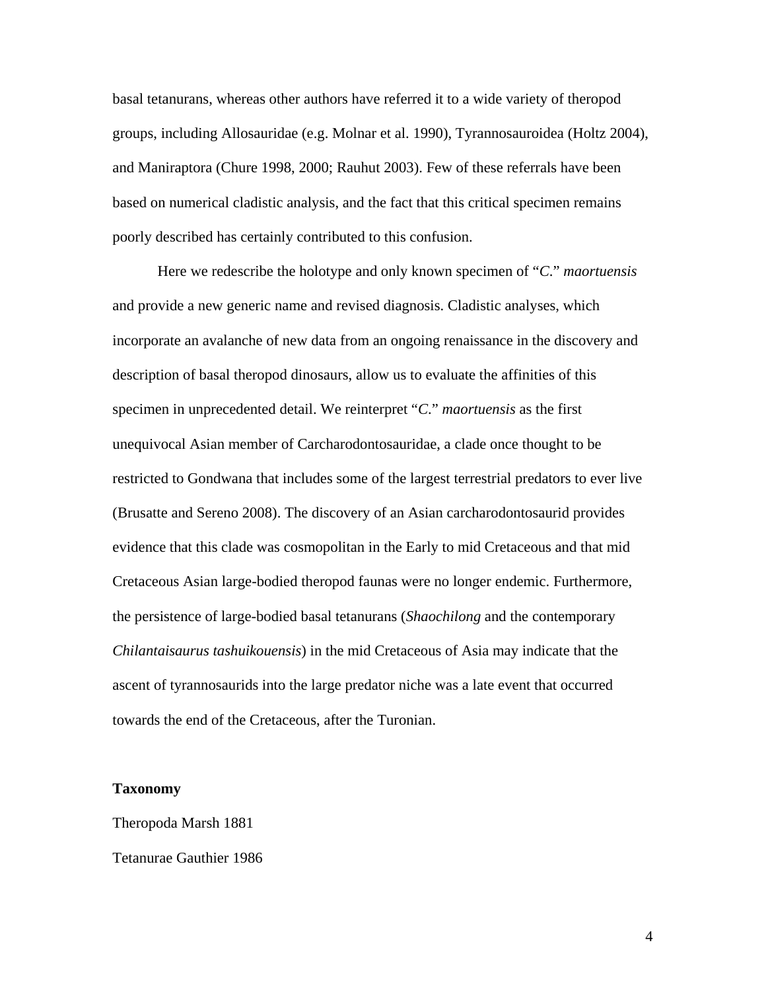basal tetanurans, whereas other authors have referred it to a wide variety of theropod groups, including Allosauridae (e.g. Molnar et al. 1990), Tyrannosauroidea (Holtz 2004), and Maniraptora (Chure 1998, 2000; Rauhut 2003). Few of these referrals have been based on numerical cladistic analysis, and the fact that this critical specimen remains poorly described has certainly contributed to this confusion.

Here we redescribe the holotype and only known specimen of "*C*." *maortuensis* and provide a new generic name and revised diagnosis. Cladistic analyses, which incorporate an avalanche of new data from an ongoing renaissance in the discovery and description of basal theropod dinosaurs, allow us to evaluate the affinities of this specimen in unprecedented detail. We reinterpret "*C*." *maortuensis* as the first unequivocal Asian member of Carcharodontosauridae, a clade once thought to be restricted to Gondwana that includes some of the largest terrestrial predators to ever live (Brusatte and Sereno 2008). The discovery of an Asian carcharodontosaurid provides evidence that this clade was cosmopolitan in the Early to mid Cretaceous and that mid Cretaceous Asian large-bodied theropod faunas were no longer endemic. Furthermore, the persistence of large-bodied basal tetanurans (*Shaochilong* and the contemporary *Chilantaisaurus tashuikouensis*) in the mid Cretaceous of Asia may indicate that the ascent of tyrannosaurids into the large predator niche was a late event that occurred towards the end of the Cretaceous, after the Turonian.

#### **Taxonomy**

Theropoda Marsh 1881 Tetanurae Gauthier 1986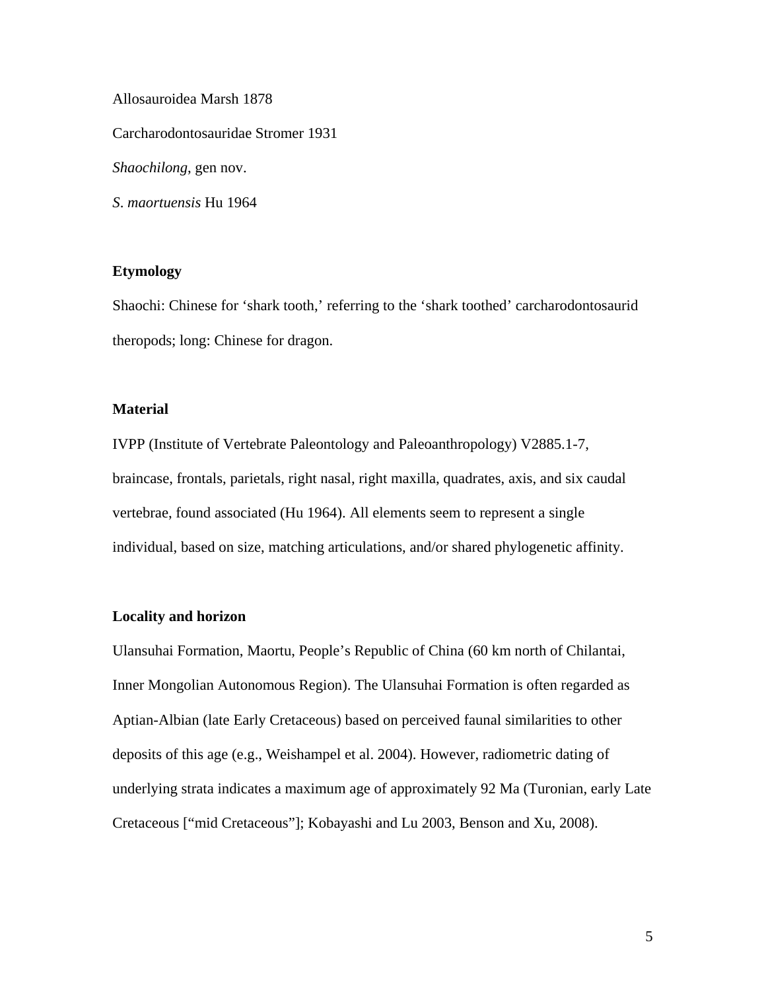Allosauroidea Marsh 1878 Carcharodontosauridae Stromer 1931 *Shaochilong*, gen nov. *S*. *maortuensis* Hu 1964

#### **Etymology**

Shaochi: Chinese for 'shark tooth,' referring to the 'shark toothed' carcharodontosaurid theropods; long: Chinese for dragon.

#### **Material**

IVPP (Institute of Vertebrate Paleontology and Paleoanthropology) V2885.1-7, braincase, frontals, parietals, right nasal, right maxilla, quadrates, axis, and six caudal vertebrae, found associated (Hu 1964). All elements seem to represent a single individual, based on size, matching articulations, and/or shared phylogenetic affinity.

#### **Locality and horizon**

Ulansuhai Formation, Maortu, People's Republic of China (60 km north of Chilantai, Inner Mongolian Autonomous Region). The Ulansuhai Formation is often regarded as Aptian-Albian (late Early Cretaceous) based on perceived faunal similarities to other deposits of this age (e.g., Weishampel et al. 2004). However, radiometric dating of underlying strata indicates a maximum age of approximately 92 Ma (Turonian, early Late Cretaceous ["mid Cretaceous"]; Kobayashi and Lu 2003, Benson and Xu, 2008).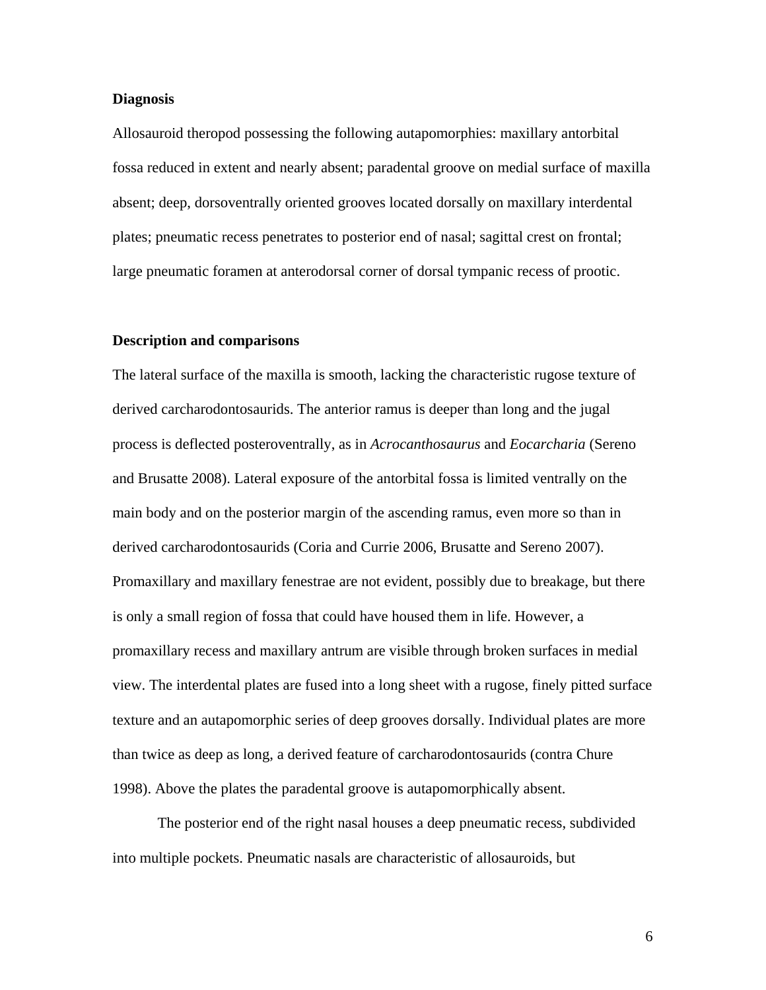#### **Diagnosis**

Allosauroid theropod possessing the following autapomorphies: maxillary antorbital fossa reduced in extent and nearly absent; paradental groove on medial surface of maxilla absent; deep, dorsoventrally oriented grooves located dorsally on maxillary interdental plates; pneumatic recess penetrates to posterior end of nasal; sagittal crest on frontal; large pneumatic foramen at anterodorsal corner of dorsal tympanic recess of prootic.

#### **Description and comparisons**

The lateral surface of the maxilla is smooth, lacking the characteristic rugose texture of derived carcharodontosaurids. The anterior ramus is deeper than long and the jugal process is deflected posteroventrally, as in *Acrocanthosaurus* and *Eocarcharia* (Sereno and Brusatte 2008). Lateral exposure of the antorbital fossa is limited ventrally on the main body and on the posterior margin of the ascending ramus, even more so than in derived carcharodontosaurids (Coria and Currie 2006, Brusatte and Sereno 2007). Promaxillary and maxillary fenestrae are not evident, possibly due to breakage, but there is only a small region of fossa that could have housed them in life. However, a promaxillary recess and maxillary antrum are visible through broken surfaces in medial view. The interdental plates are fused into a long sheet with a rugose, finely pitted surface texture and an autapomorphic series of deep grooves dorsally. Individual plates are more than twice as deep as long, a derived feature of carcharodontosaurids (contra Chure 1998). Above the plates the paradental groove is autapomorphically absent.

The posterior end of the right nasal houses a deep pneumatic recess, subdivided into multiple pockets. Pneumatic nasals are characteristic of allosauroids, but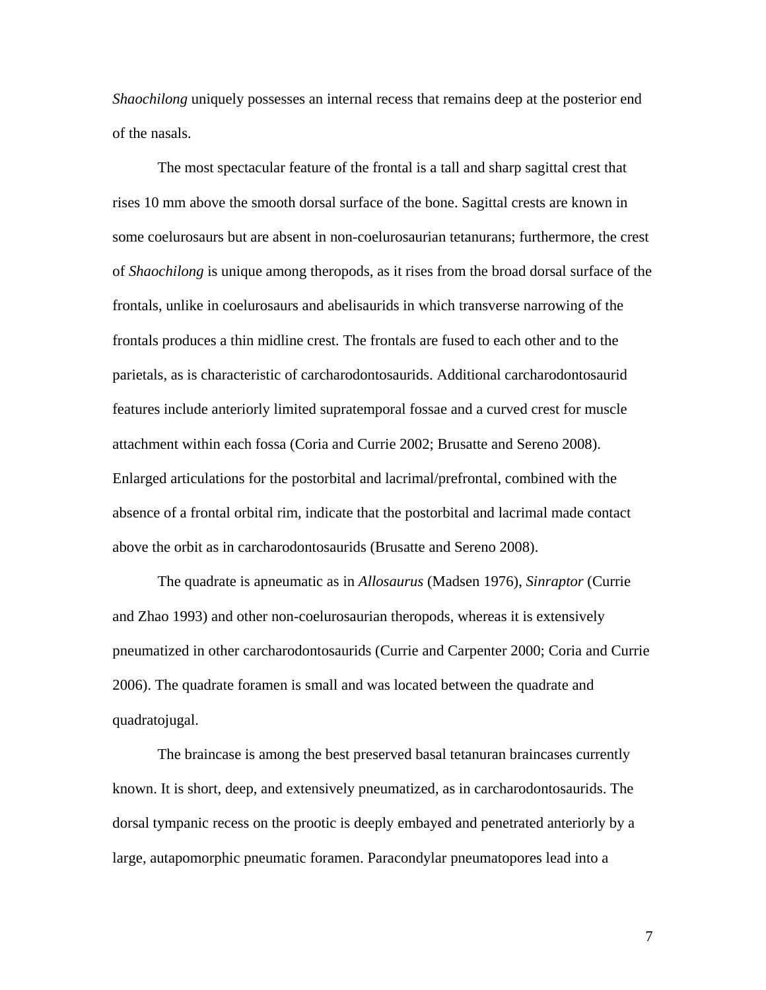*Shaochilong* uniquely possesses an internal recess that remains deep at the posterior end of the nasals.

The most spectacular feature of the frontal is a tall and sharp sagittal crest that rises 10 mm above the smooth dorsal surface of the bone. Sagittal crests are known in some coelurosaurs but are absent in non-coelurosaurian tetanurans; furthermore, the crest of *Shaochilong* is unique among theropods, as it rises from the broad dorsal surface of the frontals, unlike in coelurosaurs and abelisaurids in which transverse narrowing of the frontals produces a thin midline crest. The frontals are fused to each other and to the parietals, as is characteristic of carcharodontosaurids. Additional carcharodontosaurid features include anteriorly limited supratemporal fossae and a curved crest for muscle attachment within each fossa (Coria and Currie 2002; Brusatte and Sereno 2008). Enlarged articulations for the postorbital and lacrimal/prefrontal, combined with the absence of a frontal orbital rim, indicate that the postorbital and lacrimal made contact above the orbit as in carcharodontosaurids (Brusatte and Sereno 2008).

The quadrate is apneumatic as in *Allosaurus* (Madsen 1976), *Sinraptor* (Currie and Zhao 1993) and other non-coelurosaurian theropods, whereas it is extensively pneumatized in other carcharodontosaurids (Currie and Carpenter 2000; Coria and Currie 2006). The quadrate foramen is small and was located between the quadrate and quadratojugal.

The braincase is among the best preserved basal tetanuran braincases currently known. It is short, deep, and extensively pneumatized, as in carcharodontosaurids. The dorsal tympanic recess on the prootic is deeply embayed and penetrated anteriorly by a large, autapomorphic pneumatic foramen. Paracondylar pneumatopores lead into a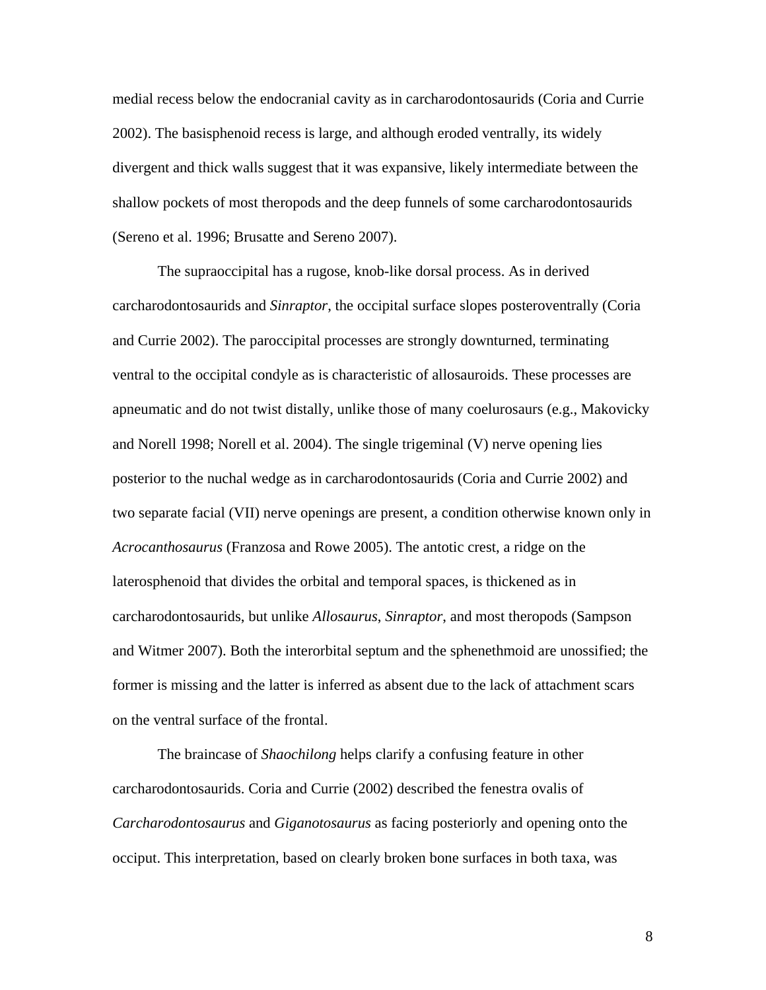medial recess below the endocranial cavity as in carcharodontosaurids (Coria and Currie 2002). The basisphenoid recess is large, and although eroded ventrally, its widely divergent and thick walls suggest that it was expansive, likely intermediate between the shallow pockets of most theropods and the deep funnels of some carcharodontosaurids (Sereno et al. 1996; Brusatte and Sereno 2007).

The supraoccipital has a rugose, knob-like dorsal process. As in derived carcharodontosaurids and *Sinraptor*, the occipital surface slopes posteroventrally (Coria and Currie 2002). The paroccipital processes are strongly downturned, terminating ventral to the occipital condyle as is characteristic of allosauroids. These processes are apneumatic and do not twist distally, unlike those of many coelurosaurs (e.g., Makovicky and Norell 1998; Norell et al. 2004). The single trigeminal (V) nerve opening lies posterior to the nuchal wedge as in carcharodontosaurids (Coria and Currie 2002) and two separate facial (VII) nerve openings are present, a condition otherwise known only in *Acrocanthosaurus* (Franzosa and Rowe 2005). The antotic crest, a ridge on the laterosphenoid that divides the orbital and temporal spaces, is thickened as in carcharodontosaurids, but unlike *Allosaurus*, *Sinraptor*, and most theropods (Sampson and Witmer 2007). Both the interorbital septum and the sphenethmoid are unossified; the former is missing and the latter is inferred as absent due to the lack of attachment scars on the ventral surface of the frontal.

The braincase of *Shaochilong* helps clarify a confusing feature in other carcharodontosaurids. Coria and Currie (2002) described the fenestra ovalis of *Carcharodontosaurus* and *Giganotosaurus* as facing posteriorly and opening onto the occiput. This interpretation, based on clearly broken bone surfaces in both taxa, was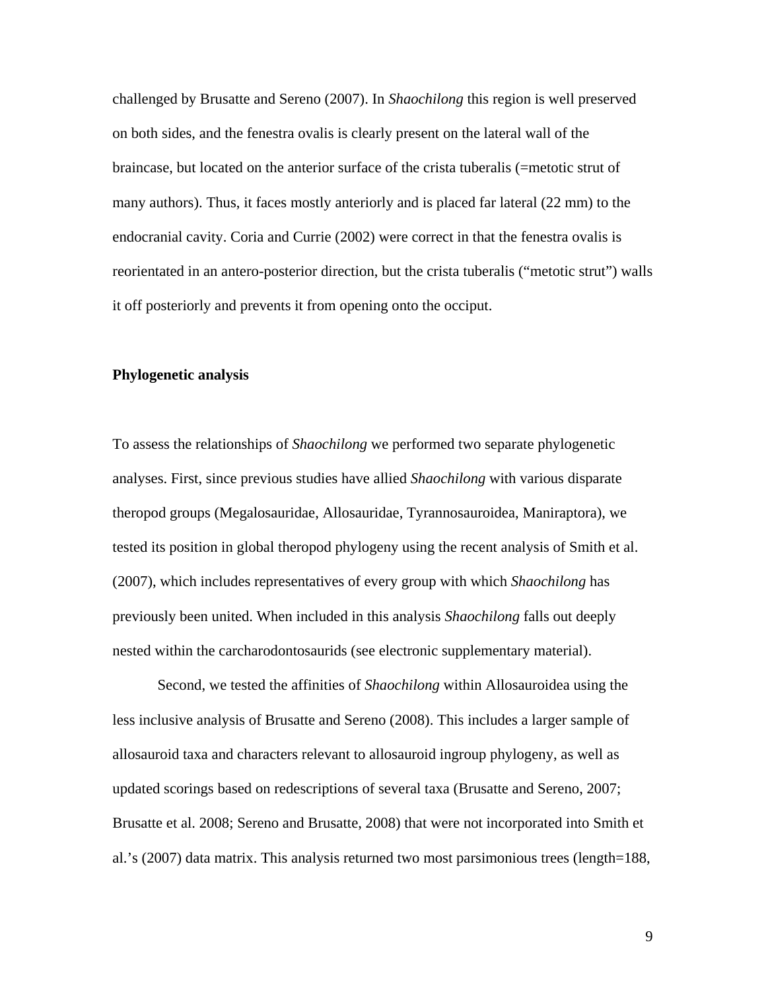challenged by Brusatte and Sereno (2007). In *Shaochilong* this region is well preserved on both sides, and the fenestra ovalis is clearly present on the lateral wall of the braincase, but located on the anterior surface of the crista tuberalis (=metotic strut of many authors). Thus, it faces mostly anteriorly and is placed far lateral (22 mm) to the endocranial cavity. Coria and Currie (2002) were correct in that the fenestra ovalis is reorientated in an antero-posterior direction, but the crista tuberalis ("metotic strut") walls it off posteriorly and prevents it from opening onto the occiput.

#### **Phylogenetic analysis**

To assess the relationships of *Shaochilong* we performed two separate phylogenetic analyses. First, since previous studies have allied *Shaochilong* with various disparate theropod groups (Megalosauridae, Allosauridae, Tyrannosauroidea, Maniraptora), we tested its position in global theropod phylogeny using the recent analysis of Smith et al. (2007), which includes representatives of every group with which *Shaochilong* has previously been united. When included in this analysis *Shaochilong* falls out deeply nested within the carcharodontosaurids (see electronic supplementary material).

Second, we tested the affinities of *Shaochilong* within Allosauroidea using the less inclusive analysis of Brusatte and Sereno (2008). This includes a larger sample of allosauroid taxa and characters relevant to allosauroid ingroup phylogeny, as well as updated scorings based on redescriptions of several taxa (Brusatte and Sereno, 2007; Brusatte et al. 2008; Sereno and Brusatte, 2008) that were not incorporated into Smith et al.'s (2007) data matrix. This analysis returned two most parsimonious trees (length=188,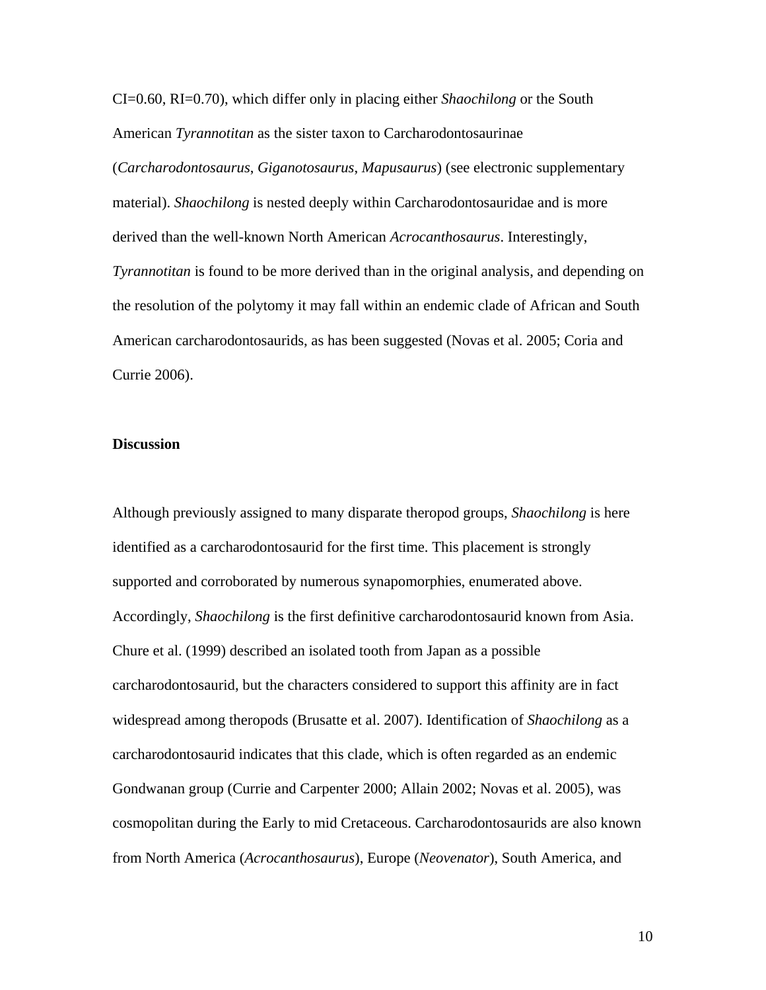CI=0.60, RI=0.70), which differ only in placing either *Shaochilong* or the South American *Tyrannotitan* as the sister taxon to Carcharodontosaurinae (*Carcharodontosaurus*, *Giganotosaurus*, *Mapusaurus*) (see electronic supplementary material). *Shaochilong* is nested deeply within Carcharodontosauridae and is more derived than the well-known North American *Acrocanthosaurus*. Interestingly, *Tyrannotitan* is found to be more derived than in the original analysis, and depending on the resolution of the polytomy it may fall within an endemic clade of African and South American carcharodontosaurids, as has been suggested (Novas et al. 2005; Coria and Currie 2006).

#### **Discussion**

Although previously assigned to many disparate theropod groups, *Shaochilong* is here identified as a carcharodontosaurid for the first time. This placement is strongly supported and corroborated by numerous synapomorphies, enumerated above. Accordingly, *Shaochilong* is the first definitive carcharodontosaurid known from Asia. Chure et al. (1999) described an isolated tooth from Japan as a possible carcharodontosaurid, but the characters considered to support this affinity are in fact widespread among theropods (Brusatte et al. 2007). Identification of *Shaochilong* as a carcharodontosaurid indicates that this clade, which is often regarded as an endemic Gondwanan group (Currie and Carpenter 2000; Allain 2002; Novas et al. 2005), was cosmopolitan during the Early to mid Cretaceous. Carcharodontosaurids are also known from North America (*Acrocanthosaurus*), Europe (*Neovenator*), South America, and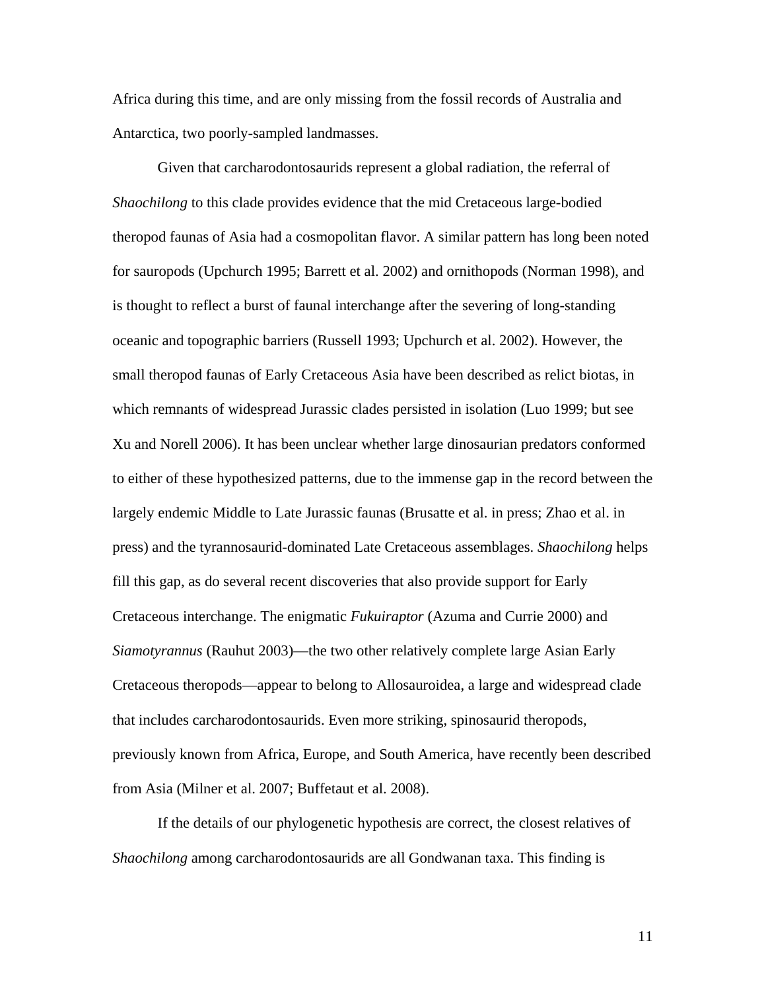Africa during this time, and are only missing from the fossil records of Australia and Antarctica, two poorly-sampled landmasses.

Given that carcharodontosaurids represent a global radiation, the referral of *Shaochilong* to this clade provides evidence that the mid Cretaceous large-bodied theropod faunas of Asia had a cosmopolitan flavor. A similar pattern has long been noted for sauropods (Upchurch 1995; Barrett et al. 2002) and ornithopods (Norman 1998), and is thought to reflect a burst of faunal interchange after the severing of long-standing oceanic and topographic barriers (Russell 1993; Upchurch et al. 2002). However, the small theropod faunas of Early Cretaceous Asia have been described as relict biotas, in which remnants of widespread Jurassic clades persisted in isolation (Luo 1999; but see Xu and Norell 2006). It has been unclear whether large dinosaurian predators conformed to either of these hypothesized patterns, due to the immense gap in the record between the largely endemic Middle to Late Jurassic faunas (Brusatte et al. in press; Zhao et al. in press) and the tyrannosaurid-dominated Late Cretaceous assemblages. *Shaochilong* helps fill this gap, as do several recent discoveries that also provide support for Early Cretaceous interchange. The enigmatic *Fukuiraptor* (Azuma and Currie 2000) and *Siamotyrannus* (Rauhut 2003)—the two other relatively complete large Asian Early Cretaceous theropods—appear to belong to Allosauroidea, a large and widespread clade that includes carcharodontosaurids. Even more striking, spinosaurid theropods, previously known from Africa, Europe, and South America, have recently been described from Asia (Milner et al. 2007; Buffetaut et al. 2008).

If the details of our phylogenetic hypothesis are correct, the closest relatives of *Shaochilong* among carcharodontosaurids are all Gondwanan taxa. This finding is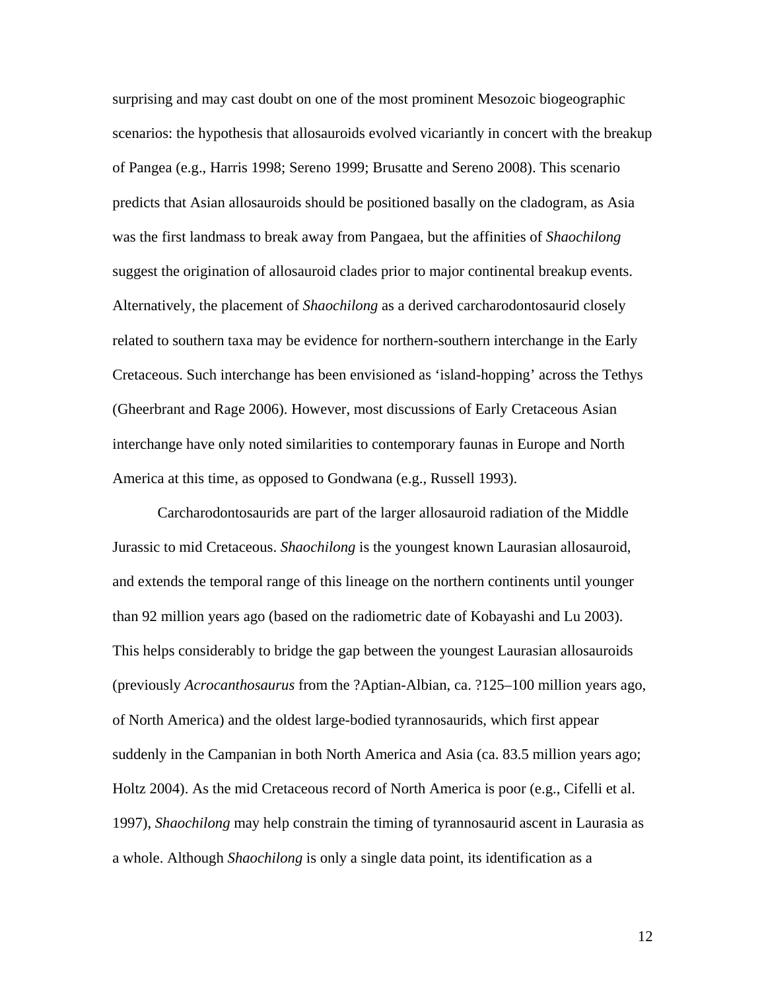surprising and may cast doubt on one of the most prominent Mesozoic biogeographic scenarios: the hypothesis that allosauroids evolved vicariantly in concert with the breakup of Pangea (e.g., Harris 1998; Sereno 1999; Brusatte and Sereno 2008). This scenario predicts that Asian allosauroids should be positioned basally on the cladogram, as Asia was the first landmass to break away from Pangaea, but the affinities of *Shaochilong* suggest the origination of allosauroid clades prior to major continental breakup events. Alternatively, the placement of *Shaochilong* as a derived carcharodontosaurid closely related to southern taxa may be evidence for northern-southern interchange in the Early Cretaceous. Such interchange has been envisioned as 'island-hopping' across the Tethys (Gheerbrant and Rage 2006). However, most discussions of Early Cretaceous Asian interchange have only noted similarities to contemporary faunas in Europe and North America at this time, as opposed to Gondwana (e.g., Russell 1993).

Carcharodontosaurids are part of the larger allosauroid radiation of the Middle Jurassic to mid Cretaceous. *Shaochilong* is the youngest known Laurasian allosauroid, and extends the temporal range of this lineage on the northern continents until younger than 92 million years ago (based on the radiometric date of Kobayashi and Lu 2003). This helps considerably to bridge the gap between the youngest Laurasian allosauroids (previously *Acrocanthosaurus* from the ?Aptian-Albian, ca. ?125–100 million years ago, of North America) and the oldest large-bodied tyrannosaurids, which first appear suddenly in the Campanian in both North America and Asia (ca. 83.5 million years ago; Holtz 2004). As the mid Cretaceous record of North America is poor (e.g., Cifelli et al. 1997), *Shaochilong* may help constrain the timing of tyrannosaurid ascent in Laurasia as a whole. Although *Shaochilong* is only a single data point, its identification as a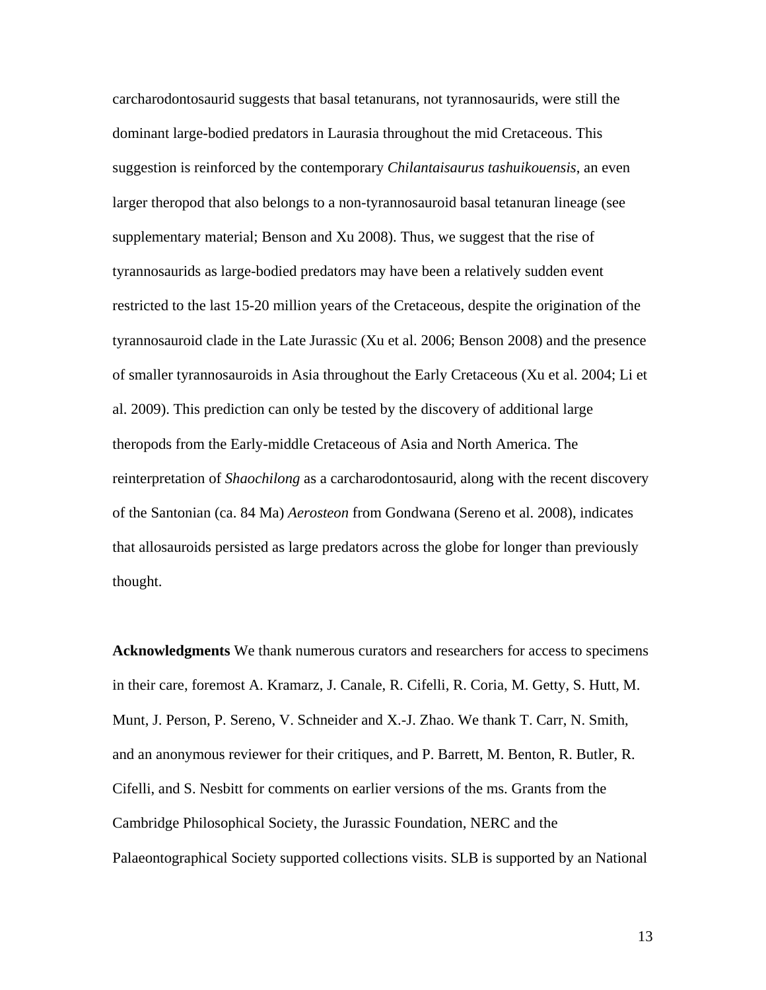carcharodontosaurid suggests that basal tetanurans, not tyrannosaurids, were still the dominant large-bodied predators in Laurasia throughout the mid Cretaceous. This suggestion is reinforced by the contemporary *Chilantaisaurus tashuikouensis*, an even larger theropod that also belongs to a non-tyrannosauroid basal tetanuran lineage (see supplementary material; Benson and Xu 2008). Thus, we suggest that the rise of tyrannosaurids as large-bodied predators may have been a relatively sudden event restricted to the last 15-20 million years of the Cretaceous, despite the origination of the tyrannosauroid clade in the Late Jurassic (Xu et al. 2006; Benson 2008) and the presence of smaller tyrannosauroids in Asia throughout the Early Cretaceous (Xu et al. 2004; Li et al. 2009). This prediction can only be tested by the discovery of additional large theropods from the Early-middle Cretaceous of Asia and North America. The reinterpretation of *Shaochilong* as a carcharodontosaurid, along with the recent discovery of the Santonian (ca. 84 Ma) *Aerosteon* from Gondwana (Sereno et al. 2008), indicates that allosauroids persisted as large predators across the globe for longer than previously thought.

**Acknowledgments** We thank numerous curators and researchers for access to specimens in their care, foremost A. Kramarz, J. Canale, R. Cifelli, R. Coria, M. Getty, S. Hutt, M. Munt, J. Person, P. Sereno, V. Schneider and X.-J. Zhao. We thank T. Carr, N. Smith, and an anonymous reviewer for their critiques, and P. Barrett, M. Benton, R. Butler, R. Cifelli, and S. Nesbitt for comments on earlier versions of the ms. Grants from the Cambridge Philosophical Society, the Jurassic Foundation, NERC and the Palaeontographical Society supported collections visits. SLB is supported by an National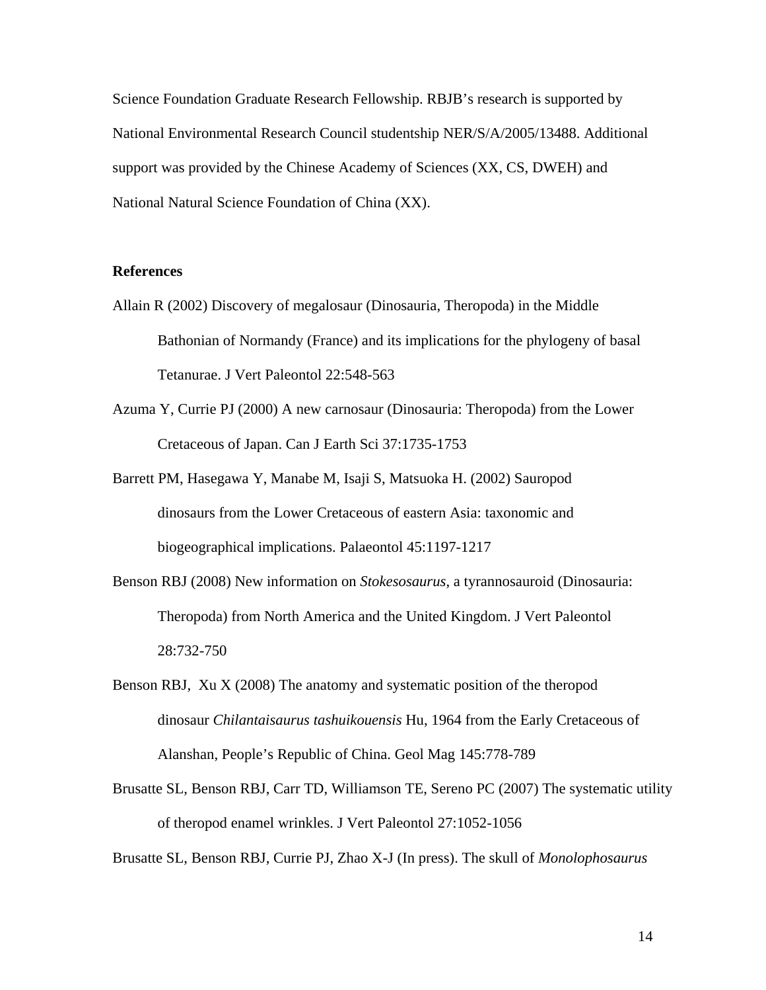Science Foundation Graduate Research Fellowship. RBJB's research is supported by National Environmental Research Council studentship NER/S/A/2005/13488. Additional support was provided by the Chinese Academy of Sciences (XX, CS, DWEH) and National Natural Science Foundation of China (XX).

#### **References**

- Allain R (2002) Discovery of megalosaur (Dinosauria, Theropoda) in the Middle Bathonian of Normandy (France) and its implications for the phylogeny of basal Tetanurae. J Vert Paleontol 22:548-563
- Azuma Y, Currie PJ (2000) A new carnosaur (Dinosauria: Theropoda) from the Lower Cretaceous of Japan. Can J Earth Sci 37:1735-1753
- Barrett PM, Hasegawa Y, Manabe M, Isaji S, Matsuoka H. (2002) Sauropod dinosaurs from the Lower Cretaceous of eastern Asia: taxonomic and biogeographical implications. Palaeontol 45:1197-1217
- Benson RBJ (2008) New information on *Stokesosaurus*, a tyrannosauroid (Dinosauria: Theropoda) from North America and the United Kingdom. J Vert Paleontol 28:732-750
- Benson RBJ, Xu X (2008) The anatomy and systematic position of the theropod dinosaur *Chilantaisaurus tashuikouensis* Hu, 1964 from the Early Cretaceous of Alanshan, People's Republic of China. Geol Mag 145:778-789
- Brusatte SL, Benson RBJ, Carr TD, Williamson TE, Sereno PC (2007) The systematic utility of theropod enamel wrinkles. J Vert Paleontol 27:1052-1056

Brusatte SL, Benson RBJ, Currie PJ, Zhao X-J (In press). The skull of *Monolophosaurus*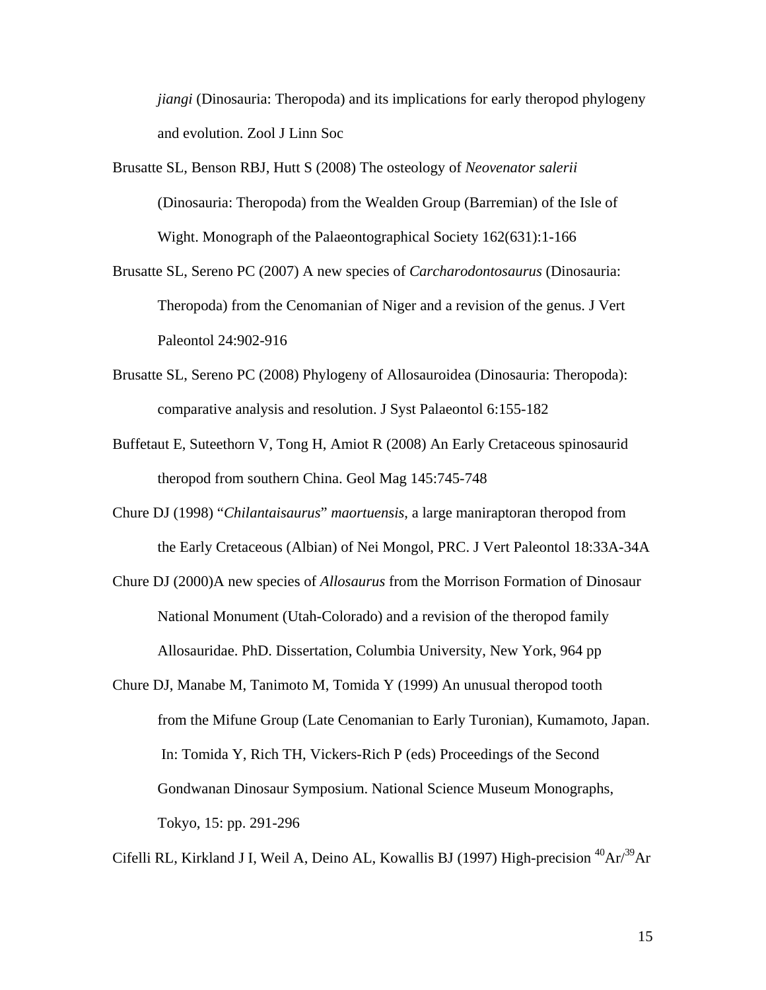*jiangi* (Dinosauria: Theropoda) and its implications for early theropod phylogeny and evolution. Zool J Linn Soc

- Brusatte SL, Benson RBJ, Hutt S (2008) The osteology of *Neovenator salerii* (Dinosauria: Theropoda) from the Wealden Group (Barremian) of the Isle of Wight. Monograph of the Palaeontographical Society 162(631):1-166
- Brusatte SL, Sereno PC (2007) A new species of *Carcharodontosaurus* (Dinosauria: Theropoda) from the Cenomanian of Niger and a revision of the genus. J Vert Paleontol 24:902-916
- Brusatte SL, Sereno PC (2008) Phylogeny of Allosauroidea (Dinosauria: Theropoda): comparative analysis and resolution. J Syst Palaeontol 6:155-182
- Buffetaut E, Suteethorn V, Tong H, Amiot R (2008) An Early Cretaceous spinosaurid theropod from southern China. Geol Mag 145:745-748
- Chure DJ (1998) "*Chilantaisaurus*" *maortuensis*, a large maniraptoran theropod from the Early Cretaceous (Albian) of Nei Mongol, PRC. J Vert Paleontol 18:33A-34A
- Chure DJ (2000)A new species of *Allosaurus* from the Morrison Formation of Dinosaur National Monument (Utah-Colorado) and a revision of the theropod family Allosauridae. PhD. Dissertation, Columbia University, New York, 964 pp
- Chure DJ, Manabe M, Tanimoto M, Tomida Y (1999) An unusual theropod tooth from the Mifune Group (Late Cenomanian to Early Turonian), Kumamoto, Japan. In: Tomida Y, Rich TH, Vickers-Rich P (eds) Proceedings of the Second Gondwanan Dinosaur Symposium. National Science Museum Monographs, Tokyo, 15: pp. 291-296

Cifelli RL, Kirkland J I, Weil A, Deino AL, Kowallis BJ (1997) High-precision  ${}^{40}Ar/{}^{39}Ar$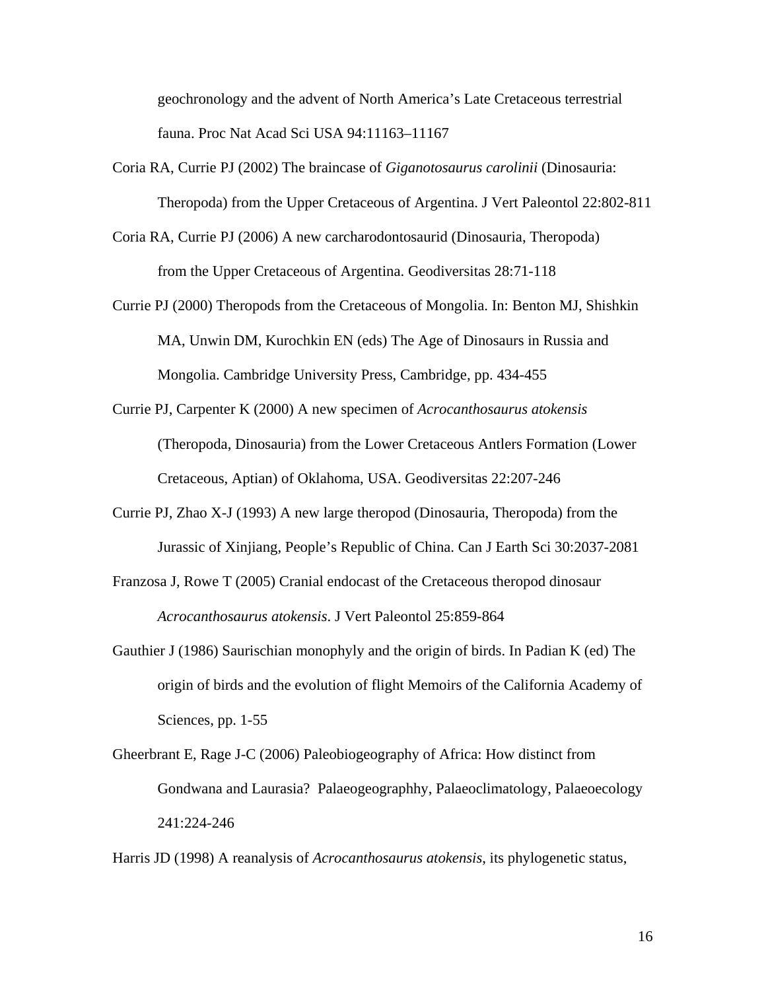geochronology and the advent of North America's Late Cretaceous terrestrial fauna. Proc Nat Acad Sci USA 94:11163–11167

- Coria RA, Currie PJ (2002) The braincase of *Giganotosaurus carolinii* (Dinosauria: Theropoda) from the Upper Cretaceous of Argentina. J Vert Paleontol 22:802-811
- Coria RA, Currie PJ (2006) A new carcharodontosaurid (Dinosauria, Theropoda) from the Upper Cretaceous of Argentina. Geodiversitas 28:71-118
- Currie PJ (2000) Theropods from the Cretaceous of Mongolia. In: Benton MJ, Shishkin MA, Unwin DM, Kurochkin EN (eds) The Age of Dinosaurs in Russia and Mongolia. Cambridge University Press, Cambridge, pp. 434-455
- Currie PJ, Carpenter K (2000) A new specimen of *Acrocanthosaurus atokensis* (Theropoda, Dinosauria) from the Lower Cretaceous Antlers Formation (Lower Cretaceous, Aptian) of Oklahoma, USA. Geodiversitas 22:207-246
- Currie PJ, Zhao X-J (1993) A new large theropod (Dinosauria, Theropoda) from the Jurassic of Xinjiang, People's Republic of China. Can J Earth Sci 30:2037-2081
- Franzosa J, Rowe T (2005) Cranial endocast of the Cretaceous theropod dinosaur *Acrocanthosaurus atokensis*. J Vert Paleontol 25:859-864
- Gauthier J (1986) Saurischian monophyly and the origin of birds. In Padian K (ed) The origin of birds and the evolution of flight Memoirs of the California Academy of Sciences, pp. 1-55
- Gheerbrant E, Rage J-C (2006) Paleobiogeography of Africa: How distinct from Gondwana and Laurasia? Palaeogeographhy, Palaeoclimatology, Palaeoecology 241:224-246

Harris JD (1998) A reanalysis of *Acrocanthosaurus atokensis*, its phylogenetic status,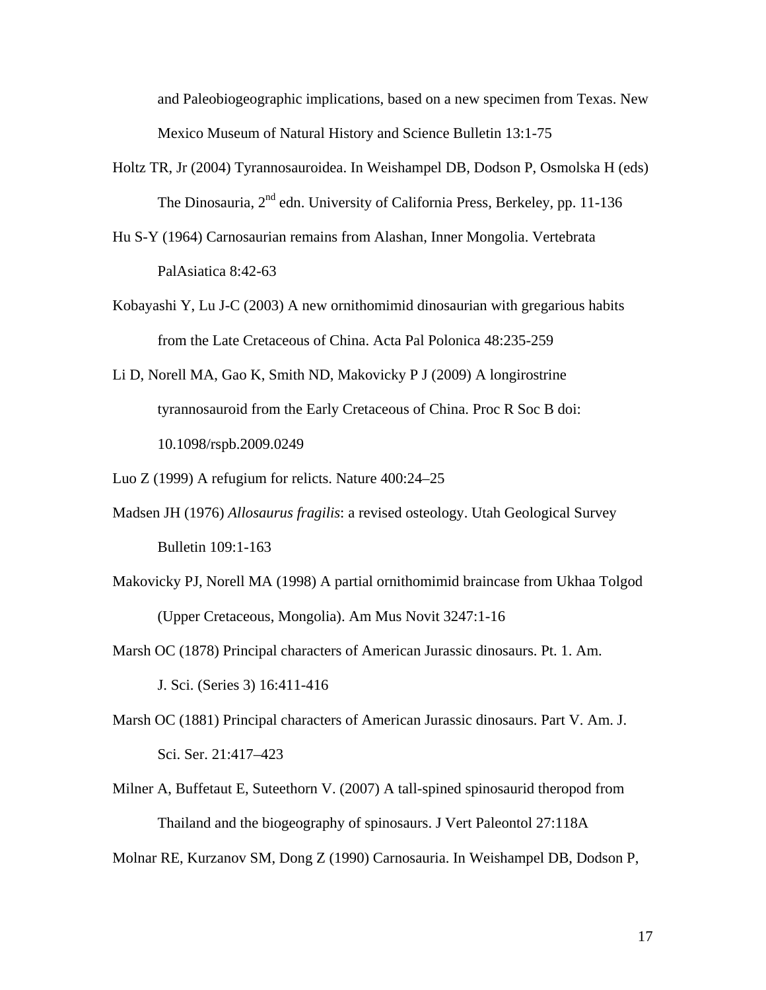and Paleobiogeographic implications, based on a new specimen from Texas. New Mexico Museum of Natural History and Science Bulletin 13:1-75

- Holtz TR, Jr (2004) Tyrannosauroidea. In Weishampel DB, Dodson P, Osmolska H (eds) The Dinosauria,  $2^{nd}$  edn. University of California Press, Berkeley, pp. 11-136
- Hu S-Y (1964) Carnosaurian remains from Alashan, Inner Mongolia. Vertebrata PalAsiatica 8:42-63
- Kobayashi Y, Lu J-C (2003) A new ornithomimid dinosaurian with gregarious habits from the Late Cretaceous of China. Acta Pal Polonica 48:235-259
- Li D, Norell MA, Gao K, Smith ND, Makovicky P J (2009) A longirostrine tyrannosauroid from the Early Cretaceous of China. Proc R Soc B doi: 10.1098/rspb.2009.0249

Luo Z (1999) A refugium for relicts. Nature 400:24–25

- Madsen JH (1976) *Allosaurus fragilis*: a revised osteology. Utah Geological Survey Bulletin 109:1-163
- Makovicky PJ, Norell MA (1998) A partial ornithomimid braincase from Ukhaa Tolgod (Upper Cretaceous, Mongolia). Am Mus Novit 3247:1-16
- Marsh OC (1878) Principal characters of American Jurassic dinosaurs. Pt. 1. Am.

J. Sci. (Series 3) 16:411-416

- Marsh OC (1881) Principal characters of American Jurassic dinosaurs. Part V. Am. J. Sci. Ser. 21:417–423
- Milner A, Buffetaut E, Suteethorn V. (2007) A tall-spined spinosaurid theropod from Thailand and the biogeography of spinosaurs. J Vert Paleontol 27:118A

Molnar RE, Kurzanov SM, Dong Z (1990) Carnosauria. In Weishampel DB, Dodson P,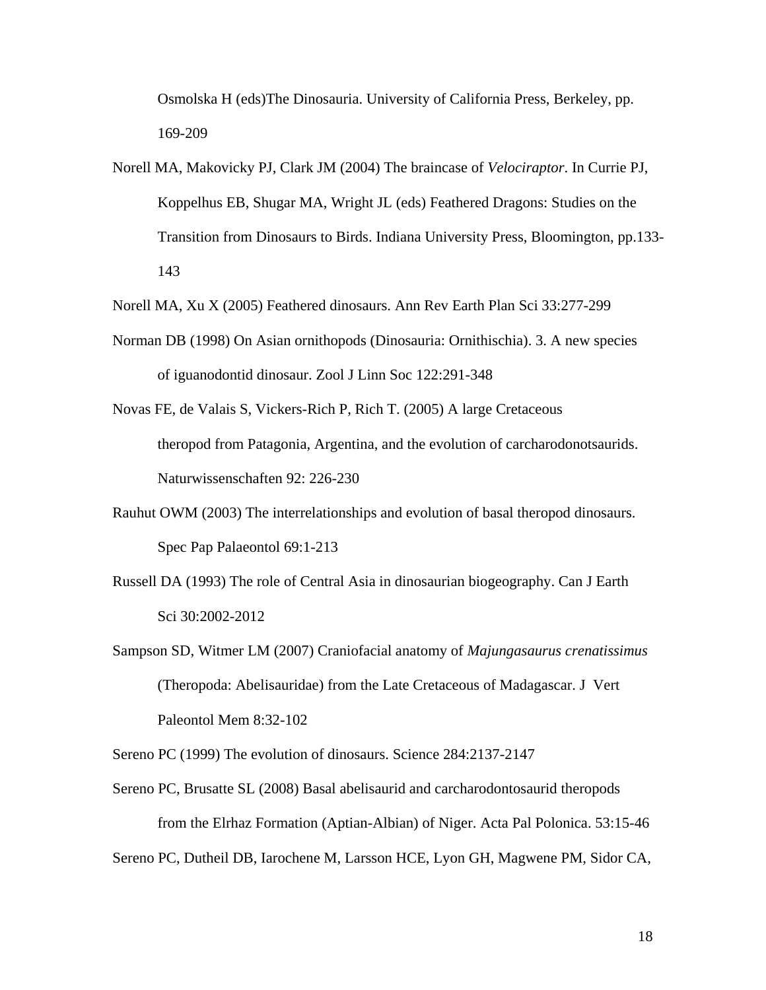Osmolska H (eds)The Dinosauria. University of California Press, Berkeley, pp. 169-209

Norell MA, Makovicky PJ, Clark JM (2004) The braincase of *Velociraptor*. In Currie PJ, Koppelhus EB, Shugar MA, Wright JL (eds) Feathered Dragons: Studies on the Transition from Dinosaurs to Birds. Indiana University Press, Bloomington, pp.133- 143

Norell MA, Xu X (2005) Feathered dinosaurs. Ann Rev Earth Plan Sci 33:277-299

- Norman DB (1998) On Asian ornithopods (Dinosauria: Ornithischia). 3. A new species of iguanodontid dinosaur. Zool J Linn Soc 122:291-348
- Novas FE, de Valais S, Vickers-Rich P, Rich T. (2005) A large Cretaceous theropod from Patagonia, Argentina, and the evolution of carcharodonotsaurids. Naturwissenschaften 92: 226-230
- Rauhut OWM (2003) The interrelationships and evolution of basal theropod dinosaurs. Spec Pap Palaeontol 69:1-213
- Russell DA (1993) The role of Central Asia in dinosaurian biogeography. Can J Earth Sci 30:2002-2012
- Sampson SD, Witmer LM (2007) Craniofacial anatomy of *Majungasaurus crenatissimus* (Theropoda: Abelisauridae) from the Late Cretaceous of Madagascar. J Vert Paleontol Mem 8:32-102

Sereno PC (1999) The evolution of dinosaurs. Science 284:2137-2147

Sereno PC, Brusatte SL (2008) Basal abelisaurid and carcharodontosaurid theropods from the Elrhaz Formation (Aptian-Albian) of Niger. Acta Pal Polonica. 53:15-46

Sereno PC, Dutheil DB, Iarochene M, Larsson HCE, Lyon GH, Magwene PM, Sidor CA,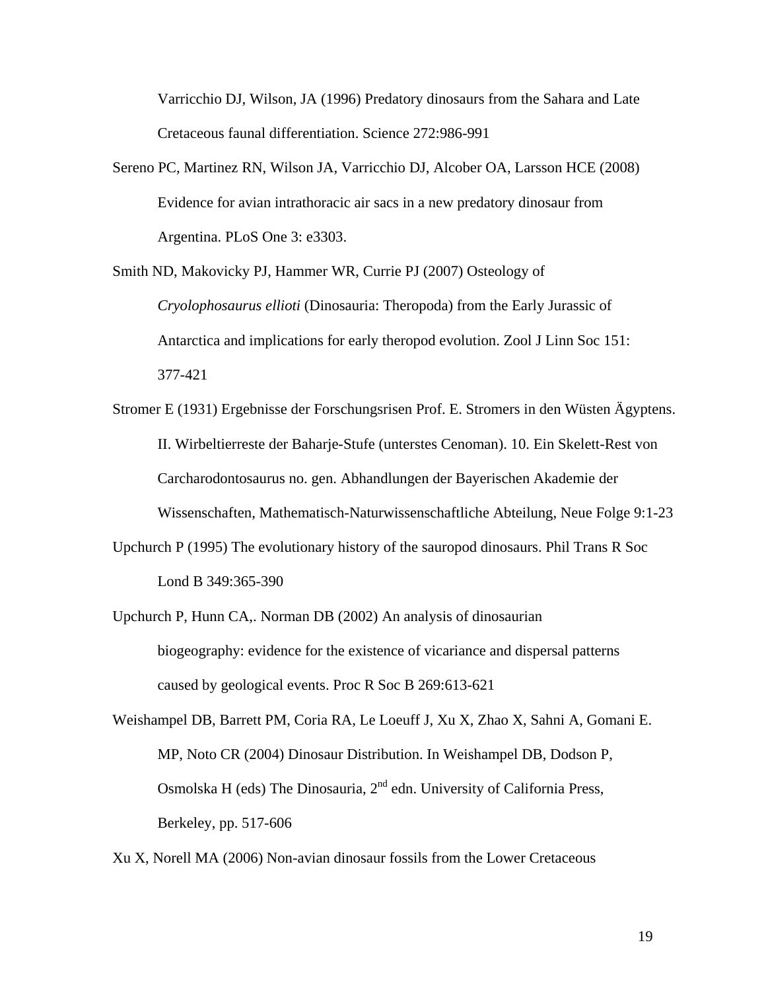Varricchio DJ, Wilson, JA (1996) Predatory dinosaurs from the Sahara and Late Cretaceous faunal differentiation. Science 272:986-991

Sereno PC, Martinez RN, Wilson JA, Varricchio DJ, Alcober OA, Larsson HCE (2008) Evidence for avian intrathoracic air sacs in a new predatory dinosaur from Argentina. PLoS One 3: e3303.

Smith ND, Makovicky PJ, Hammer WR, Currie PJ (2007) Osteology of *Cryolophosaurus ellioti* (Dinosauria: Theropoda) from the Early Jurassic of Antarctica and implications for early theropod evolution. Zool J Linn Soc 151: 377-421

- Stromer E (1931) Ergebnisse der Forschungsrisen Prof. E. Stromers in den Wüsten Ägyptens. II. Wirbeltierreste der Baharje-Stufe (unterstes Cenoman). 10. Ein Skelett-Rest von Carcharodontosaurus no. gen. Abhandlungen der Bayerischen Akademie der Wissenschaften, Mathematisch-Naturwissenschaftliche Abteilung, Neue Folge 9:1-23
- Upchurch P (1995) The evolutionary history of the sauropod dinosaurs. Phil Trans R Soc Lond B 349:365-390
- Upchurch P, Hunn CA,. Norman DB (2002) An analysis of dinosaurian biogeography: evidence for the existence of vicariance and dispersal patterns caused by geological events. Proc R Soc B 269:613-621

Weishampel DB, Barrett PM, Coria RA, Le Loeuff J, Xu X, Zhao X, Sahni A, Gomani E. MP, Noto CR (2004) Dinosaur Distribution. In Weishampel DB, Dodson P, Osmolska H (eds) The Dinosauria, 2nd edn. University of California Press, Berkeley, pp. 517-606

Xu X, Norell MA (2006) Non-avian dinosaur fossils from the Lower Cretaceous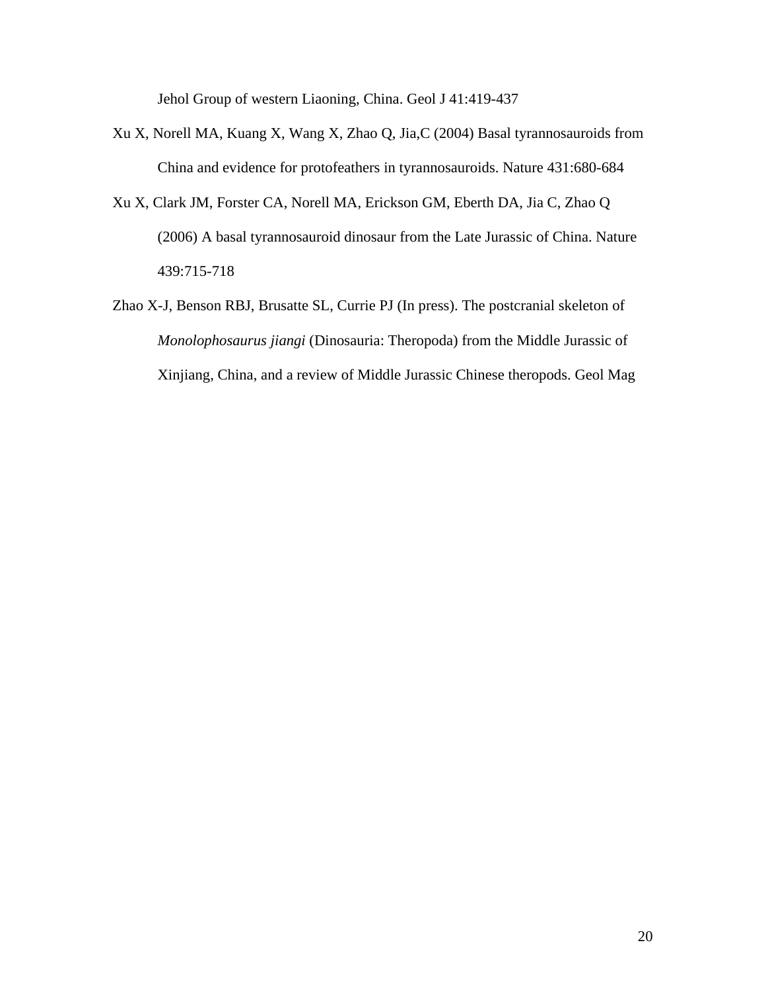Jehol Group of western Liaoning, China. Geol J 41:419-437

- Xu X, Norell MA, Kuang X, Wang X, Zhao Q, Jia,C (2004) Basal tyrannosauroids from China and evidence for protofeathers in tyrannosauroids. Nature 431:680-684
- Xu X, Clark JM, Forster CA, Norell MA, Erickson GM, Eberth DA, Jia C, Zhao Q (2006) A basal tyrannosauroid dinosaur from the Late Jurassic of China. Nature 439:715-718
- Zhao X-J, Benson RBJ, Brusatte SL, Currie PJ (In press). The postcranial skeleton of *Monolophosaurus jiangi* (Dinosauria: Theropoda) from the Middle Jurassic of Xinjiang, China, and a review of Middle Jurassic Chinese theropods. Geol Mag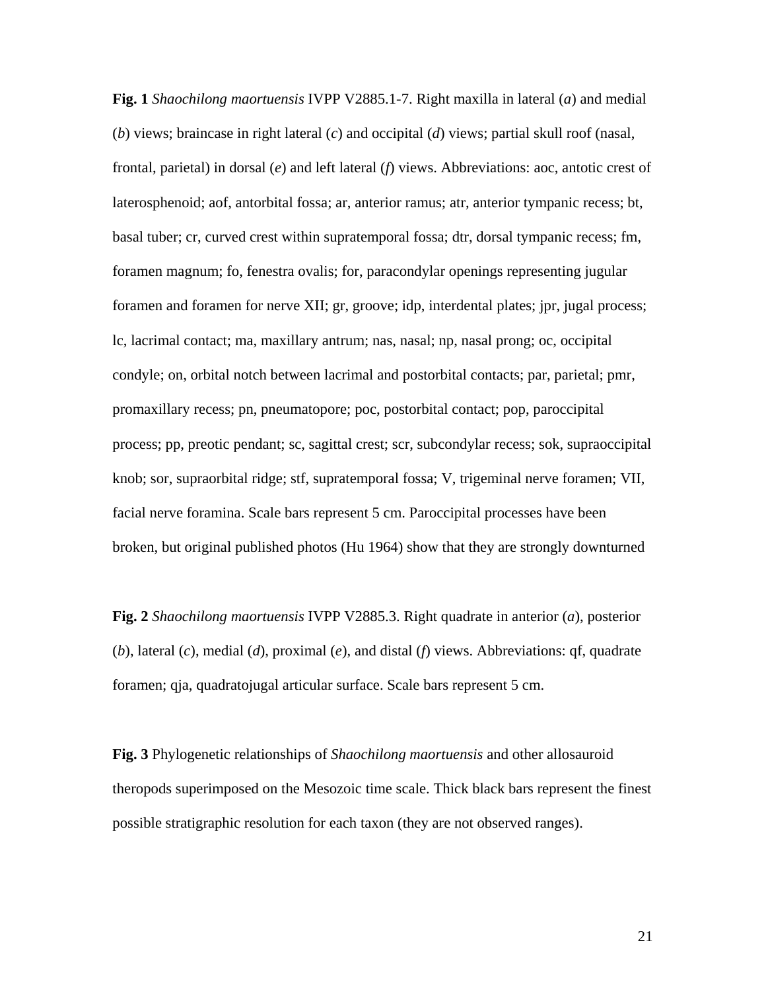**Fig. 1** *Shaochilong maortuensis* IVPP V2885.1-7. Right maxilla in lateral (*a*) and medial (*b*) views; braincase in right lateral (*c*) and occipital (*d*) views; partial skull roof (nasal, frontal, parietal) in dorsal (*e*) and left lateral (*f*) views. Abbreviations: aoc, antotic crest of laterosphenoid; aof, antorbital fossa; ar, anterior ramus; atr, anterior tympanic recess; bt, basal tuber; cr, curved crest within supratemporal fossa; dtr, dorsal tympanic recess; fm, foramen magnum; fo, fenestra ovalis; for, paracondylar openings representing jugular foramen and foramen for nerve XII; gr, groove; idp, interdental plates; jpr, jugal process; lc, lacrimal contact; ma, maxillary antrum; nas, nasal; np, nasal prong; oc, occipital condyle; on, orbital notch between lacrimal and postorbital contacts; par, parietal; pmr, promaxillary recess; pn, pneumatopore; poc, postorbital contact; pop, paroccipital process; pp, preotic pendant; sc, sagittal crest; scr, subcondylar recess; sok, supraoccipital knob; sor, supraorbital ridge; stf, supratemporal fossa; V, trigeminal nerve foramen; VII, facial nerve foramina. Scale bars represent 5 cm. Paroccipital processes have been broken, but original published photos (Hu 1964) show that they are strongly downturned

**Fig. 2** *Shaochilong maortuensis* IVPP V2885.3. Right quadrate in anterior (*a*), posterior (*b*), lateral (*c*), medial (*d*), proximal (*e*), and distal (*f*) views. Abbreviations: qf, quadrate foramen; qja, quadratojugal articular surface. Scale bars represent 5 cm.

**Fig. 3** Phylogenetic relationships of *Shaochilong maortuensis* and other allosauroid theropods superimposed on the Mesozoic time scale. Thick black bars represent the finest possible stratigraphic resolution for each taxon (they are not observed ranges).